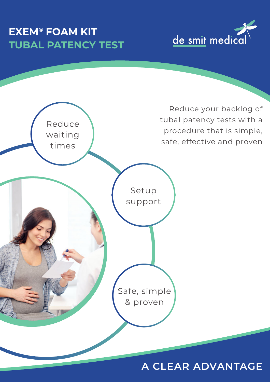# **EXEM® FOAM KIT TUBAL PATENCY TEST**